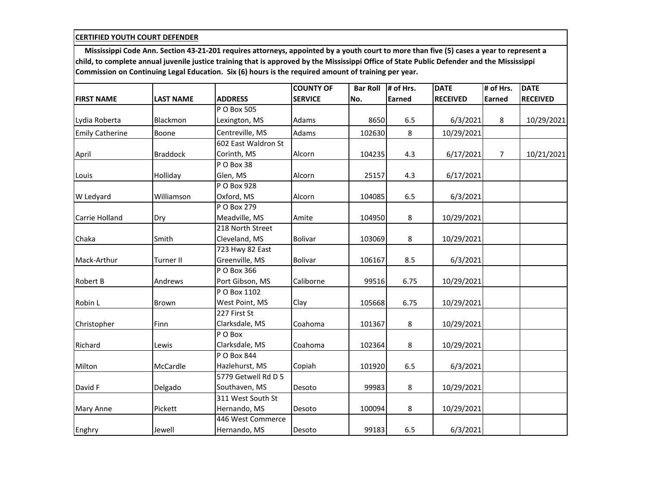|                        |                  |                         | <b>COUNTY OF</b> | <b>Bar Roll</b> | # of Hrs.     | <b>DATE</b>     | # of Hrs.     | <b>DATE</b>     |
|------------------------|------------------|-------------------------|------------------|-----------------|---------------|-----------------|---------------|-----------------|
| <b>FIRST NAME</b>      | <b>LAST NAME</b> | <b>ADDRESS</b>          | <b>SERVICE</b>   | No.             | <b>Earned</b> | <b>RECEIVED</b> | <b>Earned</b> | <b>RECEIVED</b> |
|                        |                  | P O Box 505             |                  |                 |               |                 |               |                 |
| Lydia Roberta          | Blackmon         | Lexington, MS           | Adams            | 8650            | 6.5           | 6/3/2021        | 8             | 10/29/2021      |
| <b>Emily Catherine</b> | Boone            | Centreville, MS         | Adams            | 102630          | 8             | 10/29/2021      |               |                 |
|                        |                  | 602 East Waldron St     |                  |                 |               |                 |               |                 |
| April                  | <b>Braddock</b>  | Corinth, MS             | Alcorn           | 104235          | 4.3           | 6/17/2021       | 7             | 10/21/2021      |
|                        |                  | $\overline{P}$ O Box 38 |                  |                 |               |                 |               |                 |
| Louis                  | Holliday         | Glen, MS                | Alcorn           | 25157           | 4.3           | 6/17/2021       |               |                 |
|                        |                  | P O Box 928             |                  |                 |               |                 |               |                 |
| W Ledyard              | Williamson       | Oxford, MS              | Alcorn           | 104085          | 6.5           | 6/3/2021        |               |                 |
|                        |                  | P O Box 279             |                  |                 |               |                 |               |                 |
| Carrie Holland         | Dry              | Meadville, MS           | Amite            | 104950          | 8             | 10/29/2021      |               |                 |
|                        |                  | 218 North Street        |                  |                 |               |                 |               |                 |
| Chaka                  | Smith            | Cleveland, MS           | <b>Bolivar</b>   | 103069          | 8             | 10/29/2021      |               |                 |
|                        |                  | 723 Hwy 82 East         |                  |                 |               |                 |               |                 |
| Mack-Arthur            | Turner II        | Greenville, MS          | <b>Bolivar</b>   | 106167          | 8.5           | 6/3/2021        |               |                 |
|                        |                  | P O Box 366             |                  |                 |               |                 |               |                 |
| <b>Robert B</b>        | Andrews          | Port Gibson, MS         | Caliborne        | 99516           | 6.75          | 10/29/2021      |               |                 |
|                        |                  | P O Box 1102            |                  |                 |               |                 |               |                 |
| Robin L                | <b>Brown</b>     | West Point, MS          | Clay             | 105668          | 6.75          | 10/29/2021      |               |                 |
|                        |                  | 227 First St            |                  |                 |               |                 |               |                 |
| Christopher            | Finn             | Clarksdale, MS          | Coahoma          | 101367          | 8             | 10/29/2021      |               |                 |
|                        |                  | P O Box                 |                  |                 |               |                 |               |                 |
| Richard                | Lewis            | Clarksdale, MS          | Coahoma          | 102364          | 8             | 10/29/2021      |               |                 |
|                        |                  | P O Box 844             |                  |                 |               |                 |               |                 |
| Milton                 | McCardle         | Hazlehurst, MS          | Copiah           | 101920          | 6.5           | 6/3/2021        |               |                 |
|                        |                  | 5779 Getwell Rd D 5     |                  |                 |               |                 |               |                 |
| David F                | Delgado          | Southaven, MS           | Desoto           | 99983           | 8             | 10/29/2021      |               |                 |
|                        |                  | 311 West South St       |                  |                 |               |                 |               |                 |
| <b>Mary Anne</b>       | Pickett          | Hernando, MS            | Desoto           | 100094          | 8             | 10/29/2021      |               |                 |
|                        |                  | 446 West Commerce       |                  |                 |               |                 |               |                 |
| Enghry                 | Jewell           | Hernando, MS            | Desoto           | 99183           | 6.5           | 6/3/2021        |               |                 |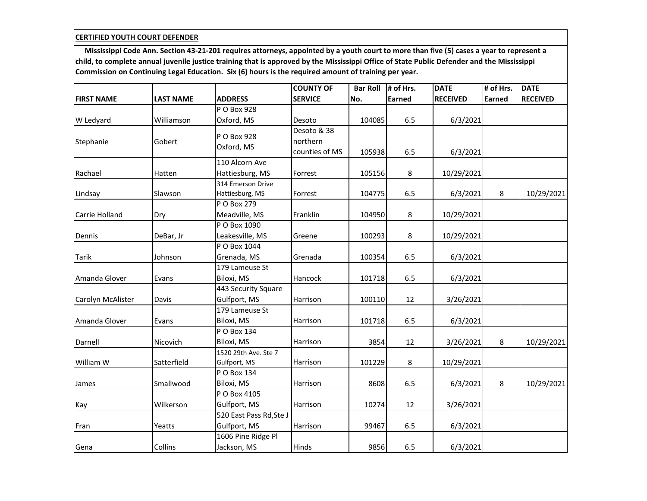|                   |                  |                         | <b>COUNTY OF</b> | <b>Bar Roll</b> | # of Hrs. | <b>DATE</b>     | # of Hrs. | <b>DATE</b>     |
|-------------------|------------------|-------------------------|------------------|-----------------|-----------|-----------------|-----------|-----------------|
| <b>FIRST NAME</b> | <b>LAST NAME</b> | <b>ADDRESS</b>          | <b>SERVICE</b>   | No.             | Earned    | <b>RECEIVED</b> | Earned    | <b>RECEIVED</b> |
|                   |                  | P O Box 928             |                  |                 |           |                 |           |                 |
| W Ledyard         | Williamson       | Oxford, MS              | Desoto           | 104085          | 6.5       | 6/3/2021        |           |                 |
|                   |                  |                         | Desoto & 38      |                 |           |                 |           |                 |
| Stephanie         | Gobert           | P O Box 928             | northern         |                 |           |                 |           |                 |
|                   |                  | Oxford, MS              | counties of MS   | 105938          | 6.5       | 6/3/2021        |           |                 |
|                   |                  | 110 Alcorn Ave          |                  |                 |           |                 |           |                 |
| Rachael           | Hatten           | Hattiesburg, MS         | Forrest          | 105156          | 8         | 10/29/2021      |           |                 |
|                   |                  | 314 Emerson Drive       |                  |                 |           |                 |           |                 |
| Lindsay           | Slawson          | Hattiesburg, MS         | Forrest          | 104775          | 6.5       | 6/3/2021        | 8         | 10/29/2021      |
|                   |                  | P O Box 279             |                  |                 |           |                 |           |                 |
| Carrie Holland    | Dry              | Meadville, MS           | Franklin         | 104950          | 8         | 10/29/2021      |           |                 |
|                   |                  | P O Box 1090            |                  |                 |           |                 |           |                 |
| Dennis            | DeBar, Jr        | Leakesville, MS         | Greene           | 100293          | 8         | 10/29/2021      |           |                 |
|                   |                  | P O Box 1044            |                  |                 |           |                 |           |                 |
| <b>Tarik</b>      | Johnson          | Grenada, MS             | Grenada          | 100354          | 6.5       | 6/3/2021        |           |                 |
|                   |                  | 179 Lameuse St          |                  |                 |           |                 |           |                 |
| Amanda Glover     | Evans            | Biloxi, MS              | Hancock          | 101718          | 6.5       | 6/3/2021        |           |                 |
|                   |                  | 443 Security Square     |                  |                 |           |                 |           |                 |
| Carolyn McAlister | Davis            | Gulfport, MS            | Harrison         | 100110          | 12        | 3/26/2021       |           |                 |
|                   |                  | 179 Lameuse St          |                  |                 |           |                 |           |                 |
| Amanda Glover     | Evans            | Biloxi, MS              | Harrison         | 101718          | 6.5       | 6/3/2021        |           |                 |
|                   |                  | P O Box 134             |                  |                 |           |                 |           |                 |
| Darnell           | Nicovich         | Biloxi, MS              | Harrison         | 3854            | 12        | 3/26/2021       | 8         | 10/29/2021      |
|                   |                  | 1520 29th Ave. Ste 7    |                  |                 |           |                 |           |                 |
| William W         | Satterfield      | Gulfport, MS            | Harrison         | 101229          | 8         | 10/29/2021      |           |                 |
|                   |                  | P O Box 134             |                  |                 |           |                 |           |                 |
| James             | Smallwood        | Biloxi, MS              | Harrison         | 8608            | 6.5       | 6/3/2021        | 8         | 10/29/2021      |
|                   |                  | P O Box 4105            |                  |                 |           |                 |           |                 |
| Kay               | Wilkerson        | Gulfport, MS            | Harrison         | 10274           | 12        | 3/26/2021       |           |                 |
|                   |                  | 520 East Pass Rd, Ste J |                  |                 |           |                 |           |                 |
| Fran              | Yeatts           | Gulfport, MS            | Harrison         | 99467           | 6.5       | 6/3/2021        |           |                 |
|                   |                  | 1606 Pine Ridge Pl      |                  |                 |           |                 |           |                 |
| Gena              | Collins          | Jackson, MS             | Hinds            | 9856            | 6.5       | 6/3/2021        |           |                 |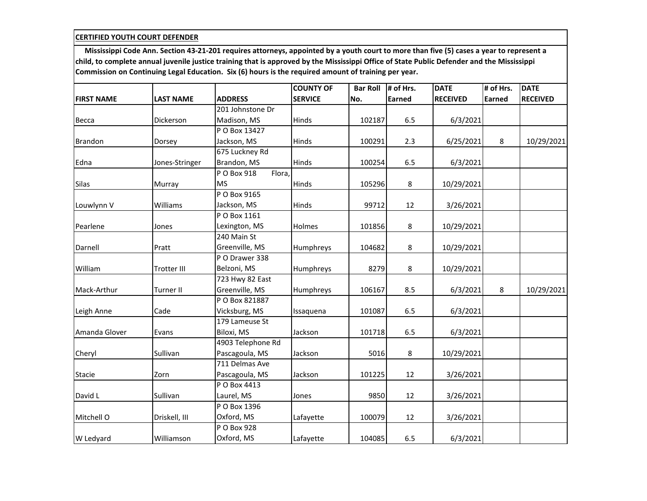|                   |                    |                       | <b>COUNTY OF</b> | <b>Bar Roll</b> | # of Hrs.     | <b>DATE</b>     | # of Hrs.     | <b>DATE</b>     |
|-------------------|--------------------|-----------------------|------------------|-----------------|---------------|-----------------|---------------|-----------------|
| <b>FIRST NAME</b> | <b>LAST NAME</b>   | <b>ADDRESS</b>        | <b>SERVICE</b>   | No.             | <b>Earned</b> | <b>RECEIVED</b> | <b>Earned</b> | <b>RECEIVED</b> |
|                   |                    | 201 Johnstone Dr      |                  |                 |               |                 |               |                 |
| Becca             | Dickerson          | Madison, MS           | Hinds            | 102187          | 6.5           | 6/3/2021        |               |                 |
|                   |                    | P O Box 13427         |                  |                 |               |                 |               |                 |
| <b>Brandon</b>    | Dorsey             | Jackson, MS           | Hinds            | 100291          | 2.3           | 6/25/2021       | 8             | 10/29/2021      |
|                   |                    | 675 Luckney Rd        |                  |                 |               |                 |               |                 |
| Edna              | Jones-Stringer     | Brandon, MS           | Hinds            | 100254          | 6.5           | 6/3/2021        |               |                 |
|                   |                    | Flora,<br>P O Box 918 |                  |                 |               |                 |               |                 |
| Silas             | Murray             | <b>MS</b>             | Hinds            | 105296          | 8             | 10/29/2021      |               |                 |
|                   |                    | P O Box 9165          |                  |                 |               |                 |               |                 |
| Louwlynn V        | Williams           | Jackson, MS           | Hinds            | 99712           | 12            | 3/26/2021       |               |                 |
|                   |                    | P O Box 1161          |                  |                 |               |                 |               |                 |
| Pearlene          | Jones              | Lexington, MS         | Holmes           | 101856          | 8             | 10/29/2021      |               |                 |
|                   |                    | 240 Main St           |                  |                 |               |                 |               |                 |
| Darnell           | Pratt              | Greenville, MS        | Humphreys        | 104682          | 8             | 10/29/2021      |               |                 |
|                   |                    | P O Drawer 338        |                  |                 |               |                 |               |                 |
| William           | <b>Trotter III</b> | Belzoni, MS           | Humphreys        | 8279            | 8             | 10/29/2021      |               |                 |
|                   |                    | 723 Hwy 82 East       |                  |                 |               |                 |               |                 |
| Mack-Arthur       | <b>Turner II</b>   | Greenville, MS        | Humphreys        | 106167          | 8.5           | 6/3/2021        | 8             | 10/29/2021      |
|                   |                    | P O Box 821887        |                  |                 |               |                 |               |                 |
| Leigh Anne        | Cade               | Vicksburg, MS         | Issaquena        | 101087          | 6.5           | 6/3/2021        |               |                 |
|                   |                    | 179 Lameuse St        |                  |                 |               |                 |               |                 |
| Amanda Glover     | Evans              | Biloxi, MS            | Jackson          | 101718          | 6.5           | 6/3/2021        |               |                 |
|                   |                    | 4903 Telephone Rd     |                  |                 |               |                 |               |                 |
| Cheryl            | Sullivan           | Pascagoula, MS        | Jackson          | 5016            | 8             | 10/29/2021      |               |                 |
|                   |                    | 711 Delmas Ave        |                  |                 |               |                 |               |                 |
| Stacie            | Zorn               | Pascagoula, MS        | Jackson          | 101225          | 12            | 3/26/2021       |               |                 |
|                   |                    | P O Box 4413          |                  |                 |               |                 |               |                 |
| David L           | Sullivan           | Laurel, MS            | Jones            | 9850            | 12            | 3/26/2021       |               |                 |
|                   |                    | P O Box 1396          |                  |                 |               |                 |               |                 |
| Mitchell O        | Driskell, III      | Oxford, MS            | Lafayette        | 100079          | 12            | 3/26/2021       |               |                 |
|                   |                    | P O Box 928           |                  |                 |               |                 |               |                 |
| W Ledyard         | Williamson         | Oxford, MS            | Lafayette        | 104085          | 6.5           | 6/3/2021        |               |                 |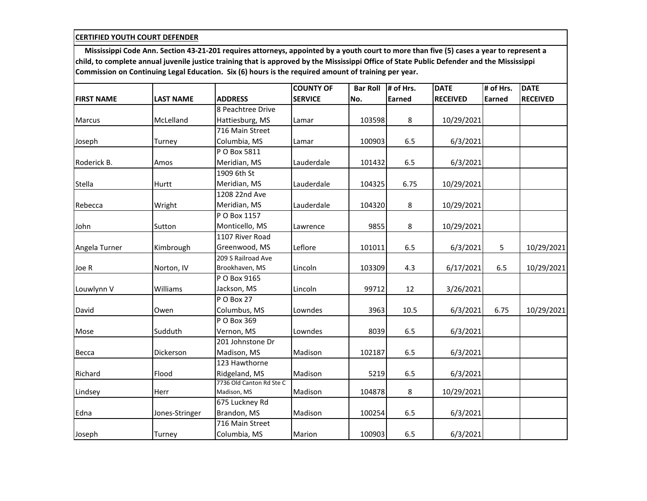|                   |                  |                          | <b>COUNTY OF</b> | <b>Bar Roll</b> | # of Hrs.     | <b>DATE</b>     | # of Hrs.     | <b>DATE</b>     |
|-------------------|------------------|--------------------------|------------------|-----------------|---------------|-----------------|---------------|-----------------|
| <b>FIRST NAME</b> | <b>LAST NAME</b> | <b>ADDRESS</b>           | <b>SERVICE</b>   | No.             | <b>Earned</b> | <b>RECEIVED</b> | <b>Earned</b> | <b>RECEIVED</b> |
|                   |                  | 8 Peachtree Drive        |                  |                 |               |                 |               |                 |
| <b>Marcus</b>     | McLelland        | Hattiesburg, MS          | Lamar            | 103598          | 8             | 10/29/2021      |               |                 |
|                   |                  | 716 Main Street          |                  |                 |               |                 |               |                 |
| Joseph            | Turney           | Columbia, MS             | Lamar            | 100903          | 6.5           | 6/3/2021        |               |                 |
|                   |                  | P O Box 5811             |                  |                 |               |                 |               |                 |
| Roderick B.       | Amos             | Meridian, MS             | Lauderdale       | 101432          | 6.5           | 6/3/2021        |               |                 |
|                   |                  | 1909 6th St              |                  |                 |               |                 |               |                 |
| Stella            | Hurtt            | Meridian, MS             | Lauderdale       | 104325          | 6.75          | 10/29/2021      |               |                 |
|                   |                  | 1208 22nd Ave            |                  |                 |               |                 |               |                 |
| Rebecca           | Wright           | Meridian, MS             | Lauderdale       | 104320          | 8             | 10/29/2021      |               |                 |
|                   |                  | P O Box 1157             |                  |                 |               |                 |               |                 |
| John              | Sutton           | Monticello, MS           | Lawrence         | 9855            | 8             | 10/29/2021      |               |                 |
|                   |                  | 1107 River Road          |                  |                 |               |                 |               |                 |
| Angela Turner     | Kimbrough        | Greenwood, MS            | Leflore          | 101011          | 6.5           | 6/3/2021        | 5             | 10/29/2021      |
|                   |                  | 209 S Railroad Ave       |                  |                 |               |                 |               |                 |
| Joe R             | Norton, IV       | Brookhaven, MS           | Lincoln          | 103309          | 4.3           | 6/17/2021       | 6.5           | 10/29/2021      |
|                   |                  | P O Box 9165             |                  |                 |               |                 |               |                 |
| Louwlynn V        | Williams         | Jackson, MS              | Lincoln          | 99712           | 12            | 3/26/2021       |               |                 |
|                   |                  | PO Box 27                |                  |                 |               |                 |               |                 |
| David             | Owen             | Columbus, MS             | Lowndes          | 3963            | 10.5          | 6/3/2021        | 6.75          | 10/29/2021      |
|                   |                  | P O Box 369              |                  |                 |               |                 |               |                 |
| Mose              | Sudduth          | Vernon, MS               | Lowndes          | 8039            | 6.5           | 6/3/2021        |               |                 |
|                   |                  | 201 Johnstone Dr         |                  |                 |               |                 |               |                 |
| Becca             | Dickerson        | Madison, MS              | Madison          | 102187          | 6.5           | 6/3/2021        |               |                 |
|                   |                  | 123 Hawthorne            |                  |                 |               |                 |               |                 |
| Richard           | Flood            | Ridgeland, MS            | Madison          | 5219            | 6.5           | 6/3/2021        |               |                 |
|                   |                  | 7736 Old Canton Rd Ste C |                  |                 |               |                 |               |                 |
| Lindsey           | Herr             | Madison, MS              | Madison          | 104878          | 8             | 10/29/2021      |               |                 |
|                   |                  | 675 Luckney Rd           |                  |                 |               |                 |               |                 |
| Edna              | Jones-Stringer   | Brandon, MS              | Madison          | 100254          | 6.5           | 6/3/2021        |               |                 |
|                   |                  | 716 Main Street          |                  |                 |               |                 |               |                 |
| Joseph            | Turney           | Columbia, MS             | Marion           | 100903          | 6.5           | 6/3/2021        |               |                 |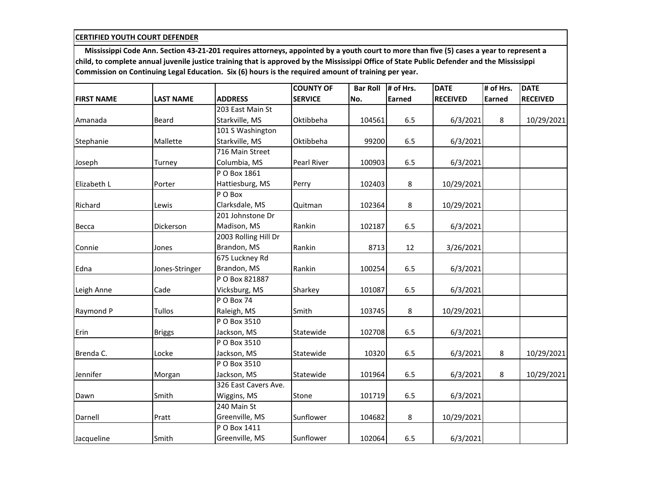|                   |                  |                      | <b>COUNTY OF</b> | <b>Bar Roll</b> | # of Hrs.     | <b>DATE</b>     | # of Hrs.     | <b>DATE</b>     |
|-------------------|------------------|----------------------|------------------|-----------------|---------------|-----------------|---------------|-----------------|
| <b>FIRST NAME</b> | <b>LAST NAME</b> | <b>ADDRESS</b>       | <b>SERVICE</b>   | No.             | <b>Earned</b> | <b>RECEIVED</b> | <b>Earned</b> | <b>RECEIVED</b> |
|                   |                  | 203 East Main St     |                  |                 |               |                 |               |                 |
| Amanada           | Beard            | Starkville, MS       | Oktibbeha        | 104561          | 6.5           | 6/3/2021        | 8             | 10/29/2021      |
|                   |                  | 101 S Washington     |                  |                 |               |                 |               |                 |
| Stephanie         | Mallette         | Starkville, MS       | Oktibbeha        | 99200           | 6.5           | 6/3/2021        |               |                 |
|                   |                  | 716 Main Street      |                  |                 |               |                 |               |                 |
| Joseph            | Turney           | Columbia, MS         | Pearl River      | 100903          | 6.5           | 6/3/2021        |               |                 |
|                   |                  | P O Box 1861         |                  |                 |               |                 |               |                 |
| Elizabeth L       | Porter           | Hattiesburg, MS      | Perry            | 102403          | 8             | 10/29/2021      |               |                 |
|                   |                  | P O Box              |                  |                 |               |                 |               |                 |
| Richard           | Lewis            | Clarksdale, MS       | Quitman          | 102364          | 8             | 10/29/2021      |               |                 |
|                   |                  | 201 Johnstone Dr     |                  |                 |               |                 |               |                 |
| Becca             | Dickerson        | Madison, MS          | Rankin           | 102187          | 6.5           | 6/3/2021        |               |                 |
|                   |                  | 2003 Rolling Hill Dr |                  |                 |               |                 |               |                 |
| Connie            | Jones            | Brandon, MS          | Rankin           | 8713            | 12            | 3/26/2021       |               |                 |
|                   |                  | 675 Luckney Rd       |                  |                 |               |                 |               |                 |
| Edna              | Jones-Stringer   | Brandon, MS          | Rankin           | 100254          | 6.5           | 6/3/2021        |               |                 |
|                   |                  | P O Box 821887       |                  |                 |               |                 |               |                 |
| Leigh Anne        | Cade             | Vicksburg, MS        | Sharkey          | 101087          | 6.5           | 6/3/2021        |               |                 |
|                   |                  | PO Box 74            |                  |                 |               |                 |               |                 |
| Raymond P         | <b>Tullos</b>    | Raleigh, MS          | Smith            | 103745          | 8             | 10/29/2021      |               |                 |
|                   |                  | P O Box 3510         |                  |                 |               |                 |               |                 |
| Erin              | <b>Briggs</b>    | Jackson, MS          | Statewide        | 102708          | 6.5           | 6/3/2021        |               |                 |
|                   |                  | P O Box 3510         |                  |                 |               |                 |               |                 |
| Brenda C.         | Locke            | Jackson, MS          | Statewide        | 10320           | 6.5           | 6/3/2021        | 8             | 10/29/2021      |
|                   |                  | P O Box 3510         |                  |                 |               |                 |               |                 |
| Jennifer          | Morgan           | Jackson, MS          | Statewide        | 101964          | 6.5           | 6/3/2021        | 8             | 10/29/2021      |
|                   |                  | 326 East Cavers Ave. |                  |                 |               |                 |               |                 |
| Dawn              | Smith            | Wiggins, MS          | Stone            | 101719          | 6.5           | 6/3/2021        |               |                 |
|                   |                  | 240 Main St          |                  |                 |               |                 |               |                 |
| Darnell           | Pratt            | Greenville, MS       | Sunflower        | 104682          | 8             | 10/29/2021      |               |                 |
|                   |                  | P O Box 1411         |                  |                 |               |                 |               |                 |
| Jacqueline        | Smith            | Greenville, MS       | Sunflower        | 102064          | 6.5           | 6/3/2021        |               |                 |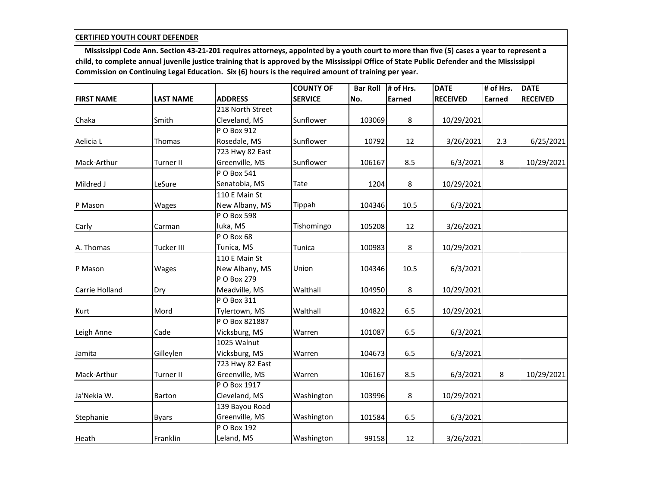|                   |                   |                  | <b>COUNTY OF</b> | <b>Bar Roll</b> | # of Hrs. | <b>DATE</b>     | # of Hrs.     | <b>DATE</b>     |
|-------------------|-------------------|------------------|------------------|-----------------|-----------|-----------------|---------------|-----------------|
| <b>FIRST NAME</b> | <b>LAST NAME</b>  | <b>ADDRESS</b>   | <b>SERVICE</b>   | No.             | Earned    | <b>RECEIVED</b> | <b>Earned</b> | <b>RECEIVED</b> |
|                   |                   | 218 North Street |                  |                 |           |                 |               |                 |
| Chaka             | Smith             | Cleveland, MS    | Sunflower        | 103069          | 8         | 10/29/2021      |               |                 |
|                   |                   | P O Box 912      |                  |                 |           |                 |               |                 |
| Aelicia L         | Thomas            | Rosedale, MS     | Sunflower        | 10792           | 12        | 3/26/2021       | 2.3           | 6/25/2021       |
|                   |                   | 723 Hwy 82 East  |                  |                 |           |                 |               |                 |
| Mack-Arthur       | <b>Turner II</b>  | Greenville, MS   | Sunflower        | 106167          | 8.5       | 6/3/2021        | 8             | 10/29/2021      |
|                   |                   | P O Box 541      |                  |                 |           |                 |               |                 |
| Mildred J         | LeSure            | Senatobia, MS    | Tate             | 1204            | 8         | 10/29/2021      |               |                 |
|                   |                   | 110 E Main St    |                  |                 |           |                 |               |                 |
| P Mason           | Wages             | New Albany, MS   | Tippah           | 104346          | 10.5      | 6/3/2021        |               |                 |
|                   |                   | P O Box 598      |                  |                 |           |                 |               |                 |
| Carly             | Carman            | Iuka, MS         | Tishomingo       | 105208          | 12        | 3/26/2021       |               |                 |
|                   |                   | PO Box 68        |                  |                 |           |                 |               |                 |
| A. Thomas         | <b>Tucker III</b> | Tunica, MS       | Tunica           | 100983          | 8         | 10/29/2021      |               |                 |
|                   |                   | 110 E Main St    |                  |                 |           |                 |               |                 |
| P Mason           | Wages             | New Albany, MS   | Union            | 104346          | 10.5      | 6/3/2021        |               |                 |
|                   |                   | P O Box 279      |                  |                 |           |                 |               |                 |
| Carrie Holland    | Dry               | Meadville, MS    | Walthall         | 104950          | 8         | 10/29/2021      |               |                 |
|                   |                   | P O Box 311      |                  |                 |           |                 |               |                 |
| Kurt              | Mord              | Tylertown, MS    | Walthall         | 104822          | 6.5       | 10/29/2021      |               |                 |
|                   |                   | P O Box 821887   |                  |                 |           |                 |               |                 |
| Leigh Anne        | Cade              | Vicksburg, MS    | Warren           | 101087          | 6.5       | 6/3/2021        |               |                 |
|                   |                   | 1025 Walnut      |                  |                 |           |                 |               |                 |
| Jamita            | Gilleylen         | Vicksburg, MS    | Warren           | 104673          | 6.5       | 6/3/2021        |               |                 |
|                   |                   | 723 Hwy 82 East  |                  |                 |           |                 |               |                 |
| Mack-Arthur       | <b>Turner II</b>  | Greenville, MS   | Warren           | 106167          | 8.5       | 6/3/2021        | 8             | 10/29/2021      |
|                   |                   | P O Box 1917     |                  |                 |           |                 |               |                 |
| Ja'Nekia W.       | Barton            | Cleveland, MS    | Washington       | 103996          | 8         | 10/29/2021      |               |                 |
|                   |                   | 139 Bayou Road   |                  |                 |           |                 |               |                 |
| Stephanie         | <b>Byars</b>      | Greenville, MS   | Washington       | 101584          | 6.5       | 6/3/2021        |               |                 |
|                   |                   | P O Box 192      |                  |                 |           |                 |               |                 |
| Heath             | Franklin          | Leland, MS       | Washington       | 99158           | 12        | 3/26/2021       |               |                 |